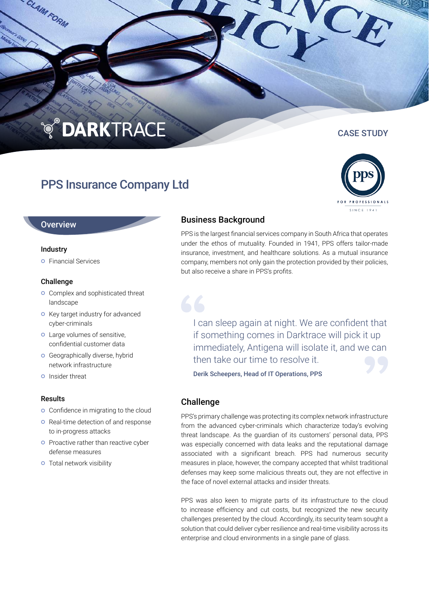## **TO DARKTRACE**

### PPS Insurance Company Ltd

#### **Overview**

#### Industry

CLAIM FORM

**o** Financial Services

#### Challenge

- **o** Complex and sophisticated threat landscape
- **o** Key target industry for advanced cyber-criminals
- Large volumes of sensitive, confidential customer data
- **o** Geographically diverse, hybrid network infrastructure
- **o** Insider threat

#### Results

- **o** Confidence in migrating to the cloud
- **o** Real-time detection of and response to in-progress attacks
- **o** Proactive rather than reactive cyber defense measures
- **o** Total network visibility

# Business Background

PPS is the largest financial services company in South Africa that operates under the ethos of mutuality. Founded in 1941, PPS offers tailor-made insurance, investment, and healthcare solutions. As a mutual insurance company, members not only gain the protection provided by their policies, but also receive a share in PPS's profits.

I can sleep again at night. We are confident that if something comes in Darktrace will pick it up immediately, Antigena will isolate it, and we can then take our time to resolve it.

Derik Scheepers, Head of IT Operations, PPS

#### Challenge

PPS's primary challenge was protecting its complex network infrastructure from the advanced cyber-criminals which characterize today's evolving threat landscape. As the guardian of its customers' personal data, PPS was especially concerned with data leaks and the reputational damage associated with a significant breach. PPS had numerous security measures in place, however, the company accepted that whilst traditional defenses may keep some malicious threats out, they are not effective in the face of novel external attacks and insider threats.

PPS was also keen to migrate parts of its infrastructure to the cloud to increase efficiency and cut costs, but recognized the new security challenges presented by the cloud. Accordingly, its security team sought a solution that could deliver cyber resilience and real-time visibility across its enterprise and cloud environments in a single pane of glass.



### CASE STUDY